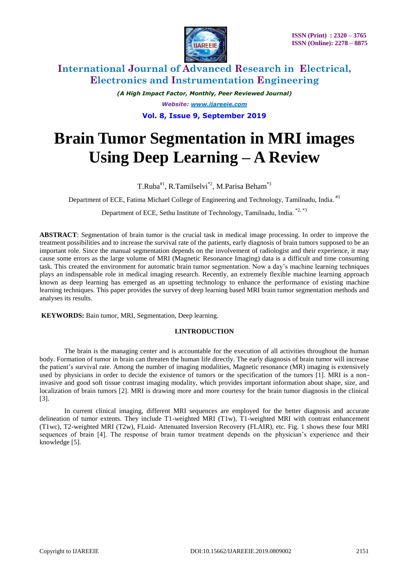

*(A High Impact Factor, Monthly, Peer Reviewed Journal) Website: [www.ijareeie.com](http://www.ijareeie.com/)* **Vol. 8, Issue 9, September 2019**

# **Brain Tumor Segmentation in MRI images Using Deep Learning – A Review**

T.Ruba<sup>#1</sup>, R.Tamilselvi<sup>\*2</sup>, M.Parisa Beham<sup>\*3</sup>

Department of ECE, Fatima Michael College of Engineering and Technology, Tamilnadu, India. #1

Department of ECE, Sethu Institute of Technology, Tamilnadu, India. \*2, \*3

**ABSTRACT**: Segmentation of brain tumor is the crucial task in medical image processing. In order to improve the treatment possibilities and to increase the survival rate of the patients, early diagnosis of brain tumors supposed to be an important role. Since the manual segmentation depends on the involvement of radiologist and their experience, it may cause some errors as the large volume of MRI (Magnetic Resonance Imaging) data is a difficult and time consuming task. This created the environment for automatic brain tumor segmentation. Now a day's machine learning techniques plays an indispensable role in medical imaging research. Recently, an extremely flexible machine learning approach known as deep learning has emerged as an upsetting technology to enhance the performance of existing machine learning techniques. This paper provides the survey of deep learning based MRI brain tumor segmentation methods and analyses its results.

**KEYWORDS:** Bain tumor, MRI, Segmentation, Deep learning.

### **I.INTRODUCTION**

The brain is the managing center and is accountable for the execution of all activities throughout the human body. Formation of tumor in brain can threaten the human life directly. The early diagnosis of brain tumor will increase the patient's survival rate. Among the number of imaging modalities, Magnetic resonance (MR) imaging is extensively used by physicians in order to decide the existence of tumors or the specification of the tumors [1]. MRI is a noninvasive and good soft tissue contrast imaging modality, which provides important information about shape, size, and localization of brain tumors [2]. MRI is drawing more and more courtesy for the brain tumor diagnosis in the clinical [3].

In current clinical imaging, different MRI sequences are employed for the better diagnosis and accurate delineation of tumor extents. They include T1-weighted MRI (T1w), T1-weighted MRI with contrast enhancement (T1wc), T2-weighted MRI (T2w), FLuid- Attenuated Inversion Recovery (FLAIR), etc. Fig. 1 shows these four MRI sequences of brain [4]. The response of brain tumor treatment depends on the physician's experience and their knowledge [5].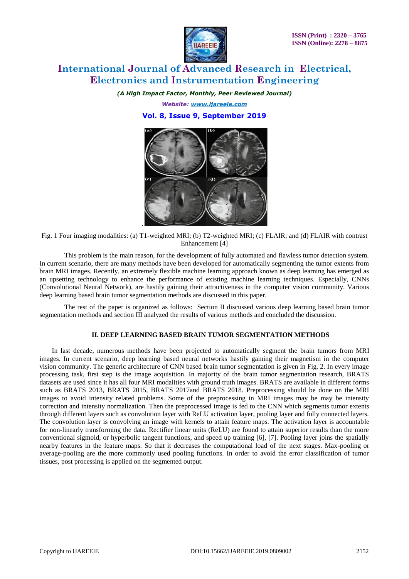

*(A High Impact Factor, Monthly, Peer Reviewed Journal)*

*Website: [www.ijareeie.com](http://www.ijareeie.com/)*

**Vol. 8, Issue 9, September 2019**



Fig. 1 Four imaging modalities: (a) T1-weighted MRI; (b) T2-weighted MRI; (c) FLAIR; and (d) FLAIR with contrast Enhancement [4]

This problem is the main reason, for the development of fully automated and flawless tumor detection system. In current scenario, there are many methods have been developed for automatically segmenting the tumor extents from brain MRI images. Recently, an extremely flexible machine learning approach known as deep learning has emerged as an upsetting technology to enhance the performance of existing machine learning techniques. Especially, CNNs (Convolutional Neural Network), are hastily gaining their attractiveness in the computer vision community. Various deep learning based brain tumor segmentation methods are discussed in this paper.

The rest of the paper is organized as follows: Section II discussed various deep learning based brain tumor segmentation methods and section III analyzed the results of various methods and concluded the discussion.

#### **II. DEEP LEARNING BASED BRAIN TUMOR SEGMENTATION METHODS**

In last decade, numerous methods have been projected to automatically segment the brain tumors from MRI images. In current scenario, deep learning based neural networks hastily gaining their magnetism in the computer vision community. The generic architecture of CNN based brain tumor segmentation is given in Fig. 2. In every image processing task, first step is the image acquisition. In majority of the brain tumor segmentation research, BRATS datasets are used since it has all four MRI modalities with ground truth images. BRATS are available in different forms such as BRATS 2013, BRATS 2015, BRATS 2017and BRATS 2018. Preprocessing should be done on the MRI images to avoid intensity related problems. Some of the preprocessing in MRI images may be may be intensity correction and intensity normalization. Then the preprocessed image is fed to the CNN which segments tumor extents through different layers such as convolution layer with ReLU activation layer, pooling layer and fully connected layers. The convolution layer is convolving an image with kernels to attain feature maps. The activation layer is accountable for non-linearly transforming the data. Rectifier linear units (ReLU) are found to attain superior results than the more conventional sigmoid, or hyperbolic tangent functions, and speed up training [6], [7]. Pooling layer joins the spatially nearby features in the feature maps. So that it decreases the computational load of the next stages. Max-pooling or average-pooling are the more commonly used pooling functions. In order to avoid the error classification of tumor tissues, post processing is applied on the segmented output.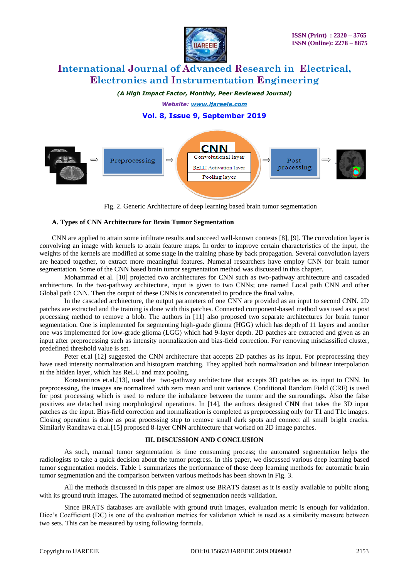

*(A High Impact Factor, Monthly, Peer Reviewed Journal)*

*Website: [www.ijareeie.com](http://www.ijareeie.com/)*

### **Vol. 8, Issue 9, September 2019**



Fig. 2. Generic Architecture of deep learning based brain tumor segmentation

#### **A. Types of CNN Architecture for Brain Tumor Segmentation**

CNN are applied to attain some infiltrate results and succeed well-known contests [8], [9]. The convolution layer is convolving an image with kernels to attain feature maps. In order to improve certain characteristics of the input, the weights of the kernels are modified at some stage in the training phase by back propagation. Several convolution layers are heaped together, to extract more meaningful features. Numeral researchers have employ CNN for brain tumor segmentation. Some of the CNN based brain tumor segmentation method was discussed in this chapter.

Mohammad et al. [10] projected two architectures for CNN such as two-pathway architecture and cascaded architecture. In the two-pathway architecture, input is given to two CNNs; one named Local path CNN and other Global path CNN. Then the output of these CNNs is concatenated to produce the final value.

In the cascaded architecture, the output parameters of one CNN are provided as an input to second CNN. 2D patches are extracted and the training is done with this patches. Connected component-based method was used as a post processing method to remove a blob. The authors in [11] also proposed two separate architectures for brain tumor segmentation. One is implemented for segmenting high-grade glioma (HGG) which has depth of 11 layers and another one was implemented for low-grade glioma (LGG) which had 9-layer depth. 2D patches are extracted and given as an input after preprocessing such as intensity normalization and bias-field correction. For removing misclassified cluster, predefined threshold value is set.

Peter et.al [12] suggested the CNN architecture that accepts 2D patches as its input. For preprocessing they have used intensity normalization and histogram matching. They applied both normalization and bilinear interpolation at the hidden layer, which has ReLU and max pooling.

Konstantinos et.al.[13], used the two-pathway architecture that accepts 3D patches as its input to CNN. In preprocessing, the images are normalized with zero mean and unit variance. Conditional Random Field (CRF) is used for post processing which is used to reduce the imbalance between the tumor and the surroundings. Also the false positives are detached using morphological operations. In [14], the authors designed CNN that takes the 3D input patches as the input. Bias-field correction and normalization is completed as preprocessing only for T1 and T1c images. Closing operation is done as post processing step to remove small dark spots and connect all small bright cracks. Similarly Randhawa et.al.[15] proposed 8-layer CNN architecture that worked on 2D image patches.

#### **III. DISCUSSION AND CONCLUSION**

As such, manual tumor segmentation is time consuming process; the automated segmentation helps the radiologists to take a quick decision about the tumor progress. In this paper, we discussed various deep learning based tumor segmentation models. Table 1 summarizes the performance of those deep learning methods for automatic brain tumor segmentation and the comparison between various methods has been shown in Fig. 3.

All the methods discussed in this paper are almost use BRATS dataset as it is easily available to public along with its ground truth images. The automated method of segmentation needs validation.

Since BRATS databases are available with ground truth images, evaluation metric is enough for validation. Dice's Coefficient (DC) is one of the evaluation metrics for validation which is used as a similarity measure between two sets. This can be measured by using following formula.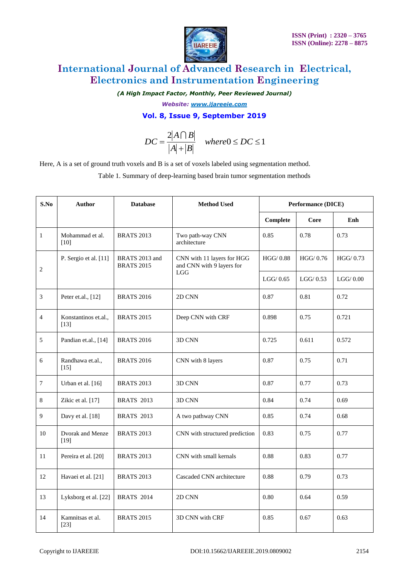

*(A High Impact Factor, Monthly, Peer Reviewed Journal)*

*Website: [www.ijareeie.com](http://www.ijareeie.com/)*

### **Vol. 8, Issue 9, September 2019**

$$
DC = \frac{2|A \cap B|}{|A| + |B|} \quad where 0 \le DC \le 1
$$

| Here, A is a set of ground truth voxels and B is a set of voxels labeled using segmentation method.<br>Table 1. Summary of deep-learning based brain tumor segmentation methods |                                   |                                     |                                                                |                           |             |          |
|---------------------------------------------------------------------------------------------------------------------------------------------------------------------------------|-----------------------------------|-------------------------------------|----------------------------------------------------------------|---------------------------|-------------|----------|
| S.No                                                                                                                                                                            | <b>Author</b>                     | <b>Database</b>                     | <b>Method Used</b>                                             | <b>Performance (DICE)</b> |             |          |
|                                                                                                                                                                                 |                                   |                                     |                                                                | Complete                  | Core        | Enh      |
| $\mathbf{1}$                                                                                                                                                                    | Mohammad et al.<br>$[10]$         | <b>BRATS 2013</b>                   | Two path-way CNN<br>architecture                               | 0.85                      | 0.78        | 0.73     |
| $\sqrt{2}$                                                                                                                                                                      | P. Sergio et al. [11]             | BRATS 2013 and<br><b>BRATS 2015</b> | CNN with 11 layers for HGG<br>and CNN with 9 layers for<br>LGG | HGG/0.88                  | HGG/0.76    | HGG/0.73 |
|                                                                                                                                                                                 |                                   |                                     |                                                                | LGG/0.65                  | $LGG/$ 0.53 | LGG/0.00 |
| 3                                                                                                                                                                               | Peter et.al., [12]                | <b>BRATS 2016</b>                   | 2D CNN                                                         | 0.87                      | 0.81        | 0.72     |
| $\overline{4}$                                                                                                                                                                  | Konstantinos et.al.,<br>$[13]$    | <b>BRATS 2015</b>                   | Deep CNN with CRF                                              | 0.898                     | 0.75        | 0.721    |
| 5                                                                                                                                                                               | Pandian et.al., [14]              | <b>BRATS 2016</b>                   | 3D CNN                                                         | 0.725                     | 0.611       | 0.572    |
| 6                                                                                                                                                                               | Randhawa et.al.,<br>$[15]$        | <b>BRATS 2016</b>                   | CNN with 8 layers                                              | 0.87                      | 0.75        | 0.71     |
| 7                                                                                                                                                                               | Urban et al. [16]                 | <b>BRATS 2013</b>                   | 3D CNN                                                         | 0.87                      | 0.77        | 0.73     |
| $\,8\,$                                                                                                                                                                         | Zikic et al. [17]                 | <b>BRATS 2013</b>                   | 3D CNN                                                         | 0.84                      | 0.74        | 0.69     |
| $\overline{9}$                                                                                                                                                                  | Davy et al. [18]                  | <b>BRATS 2013</b>                   | A two pathway CNN                                              | 0.85                      | 0.74        | 0.68     |
| 10                                                                                                                                                                              | <b>Dvorak</b> and Menze<br>$[19]$ | <b>BRATS 2013</b>                   | CNN with structured prediction                                 | 0.83                      | 0.75        | 0.77     |
| 11                                                                                                                                                                              | Pereira et al. [20]               | <b>BRATS 2013</b>                   | CNN with small kernals                                         | 0.88                      | 0.83        | 0.77     |
| 12                                                                                                                                                                              | Havaei et al. [21]                | <b>BRATS 2013</b>                   | Cascaded CNN architecture                                      | 0.88                      | 0.79        | 0.73     |
| 13                                                                                                                                                                              | Lyksborg et al. [22]              | <b>BRATS 2014</b>                   | 2D CNN                                                         | 0.80                      | 0.64        | 0.59     |
| 14                                                                                                                                                                              | Kamnitsas et al.<br>$[23]$        | <b>BRATS 2015</b>                   | 3D CNN with CRF                                                | 0.85                      | 0.67        | 0.63     |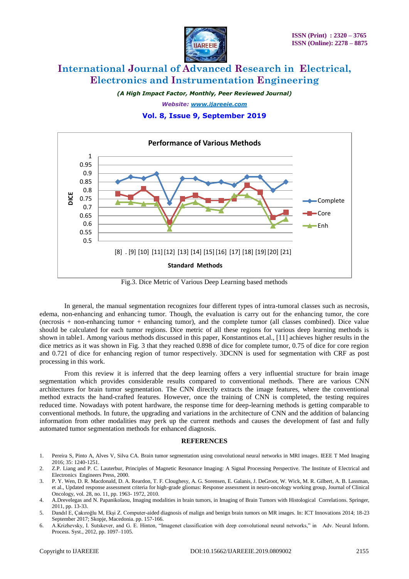

*(A High Impact Factor, Monthly, Peer Reviewed Journal)*

*Website: [www.ijareeie.com](http://www.ijareeie.com/)*

#### **Vol. 8, Issue 9, September 2019**



Fig.3. Dice Metric of Various Deep Learning based methods

In general, the manual segmentation recognizes four different types of intra-tumoral classes such as necrosis, edema, non-enhancing and enhancing tumor. Though, the evaluation is carry out for the enhancing tumor, the core (necrosis + non-enhancing tumor + enhancing tumor), and the complete tumor (all classes combined). Dice value should be calculated for each tumor regions. Dice metric of all these regions for various deep learning methods is shown in table1. Among various methods discussed in this paper, Konstantinos et.al., [11] achieves higher results in the dice metrics as it was shown in Fig. 3 that they reached 0.898 of dice for complete tumor, 0.75 of dice for core region and 0.721 of dice for enhancing region of tumor respectively. 3DCNN is used for segmentation with CRF as post processing in this work.

From this review it is inferred that the deep learning offers a very influential structure for brain image segmentation which provides considerable results compared to conventional methods. There are various CNN architectures for brain tumor segmentation. The CNN directly extracts the image features, where the conventional method extracts the hand-crafted features. However, once the training of CNN is completed, the testing requires reduced time. Nowadays with potent hardware, the response time for deep-learning methods is getting comparable to conventional methods. In future, the upgrading and variations in the architecture of CNN and the addition of balancing information from other modalities may perk up the current methods and causes the development of fast and fully automated tumor segmentation methods for enhanced diagnosis.

#### **REFERENCES**

- 1. Pereira S, Pinto A, Alves V, Silva CA. Brain tumor segmentation using convolutional neural networks in MRI images. IEEE T Med Imaging 2016; 35: 1240-1251.
- 2. Z.P. Liang and P. C. Lauterbur, Principles of Magnetic Resonance Imaging: A Signal Processing Perspective. The Institute of Electrical and Electronics Engineers Press, 2000.
- 3. P. Y. Wen, D. R. Macdonald, D. A. Reardon, T. F. Cloughesy, A. G. Sorensen, E. Galanis, J. DeGroot, W. Wick, M. R. Gilbert, A. B. Lassman, et al., Updated response assessment criteria for high-grade gliomas: Response assessment in neuro-oncology working group, Journal of Clinical Oncology, vol. 28, no. 11, pp. 1963- 1972, 2010.
- 4. A.Drevelegas and N. Papanikolaou, Imaging modalities in brain tumors, in Imaging of Brain Tumors with Histological Correlations. Springer, 2011, pp. 13-33.
- 5. Dandıl E, Çakıroğlu M, Ekşi Z. Computer-aided diagnosis of malign and benign brain tumors on MR images. In: ICT Innovations 2014; 18-23 September 2017; Skopje, Macedonia. pp. 157-166.
- 6. A.Krizhevsky, I. Sutskever, and G. E. Hinton, "Imagenet classification with deep convolutional neural networks," in Adv. Neural Inform. Process. Syst., 2012, pp. 1097–1105.